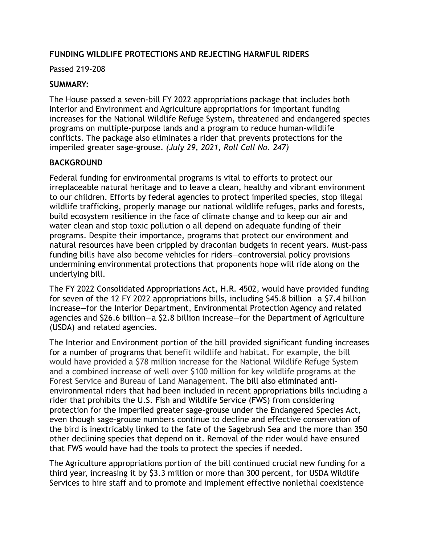## **FUNDING WILDLIFE PROTECTIONS AND REJECTING HARMFUL RIDERS**

#### Passed 219-208

### **SUMMARY:**

The House passed a seven-bill FY 2022 appropriations package that includes both Interior and Environment and Agriculture appropriations for important funding increases for the National Wildlife Refuge System, threatened and endangered species programs on multiple-purpose lands and a program to reduce human-wildlife conflicts. The package also eliminates a rider that prevents protections for the imperiled greater sage-grouse. *(July 29, 2021, Roll Call No. 247)*

### **BACKGROUND**

Federal funding for environmental programs is vital to efforts to protect our irreplaceable natural heritage and to leave a clean, healthy and vibrant environment to our children. Efforts by federal agencies to protect imperiled species, stop illegal wildlife trafficking, properly manage our national wildlife refuges, parks and forests, build ecosystem resilience in the face of climate change and to keep our air and water clean and stop toxic pollution o all depend on adequate funding of their programs. Despite their importance, programs that protect our environment and natural resources have been crippled by draconian budgets in recent years. Must-pass funding bills have also become vehicles for riders—controversial policy provisions undermining environmental protections that proponents hope will ride along on the underlying bill.

The FY 2022 Consolidated Appropriations Act, H.R. 4502, would have provided funding for seven of the 12 FY 2022 appropriations bills, including \$45.8 billion—a \$7.4 billion increase—for the Interior Department, Environmental Protection Agency and related agencies and \$26.6 billion—a \$2.8 billion increase—for the Department of Agriculture (USDA) and related agencies.

The Interior and Environment portion of the bill provided significant funding increases for a number of programs that benefit wildlife and habitat. For example, the bill would have provided a \$78 million increase for the National Wildlife Refuge System and a combined increase of well over \$100 million for key wildlife programs at the Forest Service and Bureau of Land Management. The bill also eliminated antienvironmental riders that had been included in recent appropriations bills including a rider that prohibits the U.S. Fish and Wildlife Service (FWS) from considering protection for the imperiled greater sage-grouse under the Endangered Species Act, even though sage-grouse numbers continue to decline and effective conservation of the bird is inextricably linked to the fate of the Sagebrush Sea and the more than 350 other declining species that depend on it. Removal of the rider would have ensured that FWS would have had the tools to protect the species if needed.

The Agriculture appropriations portion of the bill continued crucial new funding for a third year, increasing it by \$3.3 million or more than 300 percent, for USDA Wildlife Services to hire staff and to promote and implement effective nonlethal coexistence